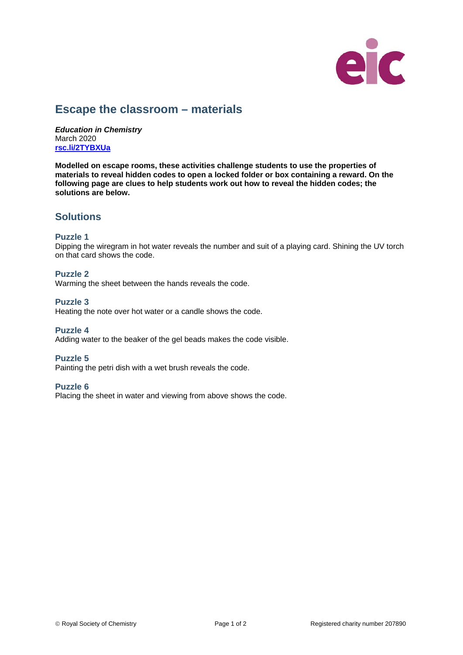

# **Escape the classroom – materials**

*Education in Chemistry* March 2020 **[rsc.li/2TYBXUa](https://rsc.li/2TYBXUa)**

**Modelled on escape rooms, these activities challenge students to use the properties of materials to reveal hidden codes to open a locked folder or box containing a reward. On the following page are clues to help students work out how to reveal the hidden codes; the solutions are below.**

## **Solutions**

### **Puzzle 1**

Dipping the wiregram in hot water reveals the number and suit of a playing card. Shining the UV torch on that card shows the code.

## **Puzzle 2**

Warming the sheet between the hands reveals the code.

### **Puzzle 3**

Heating the note over hot water or a candle shows the code.

### **Puzzle 4**

Adding water to the beaker of the gel beads makes the code visible.

### **Puzzle 5**

Painting the petri dish with a wet brush reveals the code.

#### **Puzzle 6**

Placing the sheet in water and viewing from above shows the code.